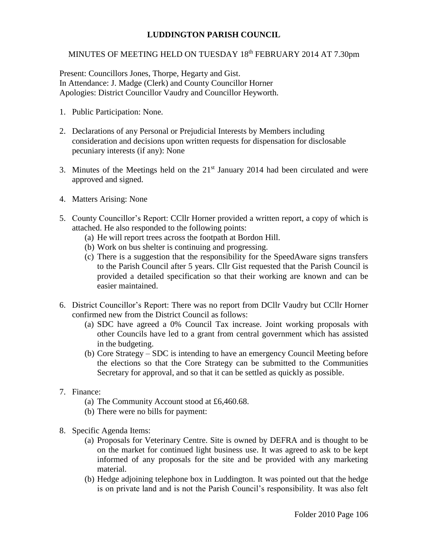## **LUDDINGTON PARISH COUNCIL**

## MINUTES OF MEETING HELD ON TUESDAY 18<sup>th</sup> FEBRUARY 2014 AT 7.30pm

Present: Councillors Jones, Thorpe, Hegarty and Gist. In Attendance: J. Madge (Clerk) and County Councillor Horner Apologies: District Councillor Vaudry and Councillor Heyworth.

- 1. Public Participation: None.
- 2. Declarations of any Personal or Prejudicial Interests by Members including consideration and decisions upon written requests for dispensation for disclosable pecuniary interests (if any): None
- 3. Minutes of the Meetings held on the  $21<sup>st</sup>$  January 2014 had been circulated and were approved and signed.
- 4. Matters Arising: None
- 5. County Councillor's Report: CCllr Horner provided a written report, a copy of which is attached. He also responded to the following points:
	- (a) He will report trees across the footpath at Bordon Hill.
	- (b) Work on bus shelter is continuing and progressing.
	- (c) There is a suggestion that the responsibility for the SpeedAware signs transfers to the Parish Council after 5 years. Cllr Gist requested that the Parish Council is provided a detailed specification so that their working are known and can be easier maintained.
- 6. District Councillor's Report: There was no report from DCllr Vaudry but CCllr Horner confirmed new from the District Council as follows:
	- (a) SDC have agreed a 0% Council Tax increase. Joint working proposals with other Councils have led to a grant from central government which has assisted in the budgeting.
	- (b) Core Strategy SDC is intending to have an emergency Council Meeting before the elections so that the Core Strategy can be submitted to the Communities Secretary for approval, and so that it can be settled as quickly as possible.
- 7. Finance:
	- (a) The Community Account stood at £6,460.68.
	- (b) There were no bills for payment:
- 8. Specific Agenda Items:
	- (a) Proposals for Veterinary Centre. Site is owned by DEFRA and is thought to be on the market for continued light business use. It was agreed to ask to be kept informed of any proposals for the site and be provided with any marketing material.
	- (b) Hedge adjoining telephone box in Luddington. It was pointed out that the hedge is on private land and is not the Parish Council's responsibility. It was also felt